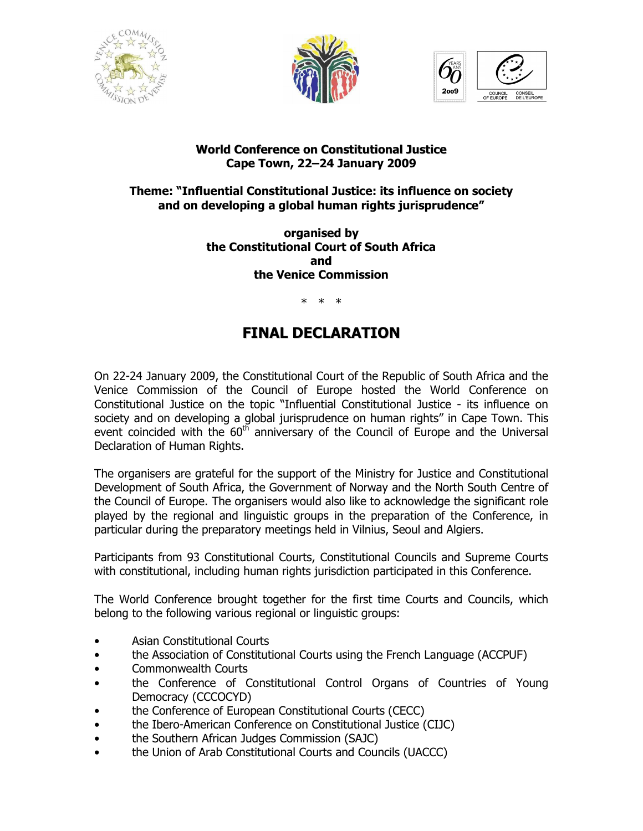





## World Conference on Constitutional Justice Cape Town, 22–24 January 2009

## Theme: "Influential Constitutional Justice: its influence on society and on developing a global human rights jurisprudence"

organised by the Constitutional Court of South Africa and the Venice Commission

\* \* \*

## FINAL DECLARATION

On 22-24 January 2009, the Constitutional Court of the Republic of South Africa and the Venice Commission of the Council of Europe hosted the World Conference on Constitutional Justice on the topic "Influential Constitutional Justice - its influence on society and on developing a global jurisprudence on human rights" in Cape Town. This event coincided with the  $60<sup>th</sup>$  anniversary of the Council of Europe and the Universal Declaration of Human Rights.

The organisers are grateful for the support of the Ministry for Justice and Constitutional Development of South Africa, the Government of Norway and the North South Centre of the Council of Europe. The organisers would also like to acknowledge the significant role played by the regional and linguistic groups in the preparation of the Conference, in particular during the preparatory meetings held in Vilnius, Seoul and Algiers.

Participants from 93 Constitutional Courts, Constitutional Councils and Supreme Courts with constitutional, including human rights jurisdiction participated in this Conference.

The World Conference brought together for the first time Courts and Councils, which belong to the following various regional or linguistic groups:

- Asian Constitutional Courts
- the Association of Constitutional Courts using the French Language (ACCPUF)
- Commonwealth Courts
- the Conference of Constitutional Control Organs of Countries of Young Democracy (CCCOCYD)
- the Conference of European Constitutional Courts (CECC)
- the Ibero-American Conference on Constitutional Justice (CIJC)
- the Southern African Judges Commission (SAJC)
- the Union of Arab Constitutional Courts and Councils (UACCC)